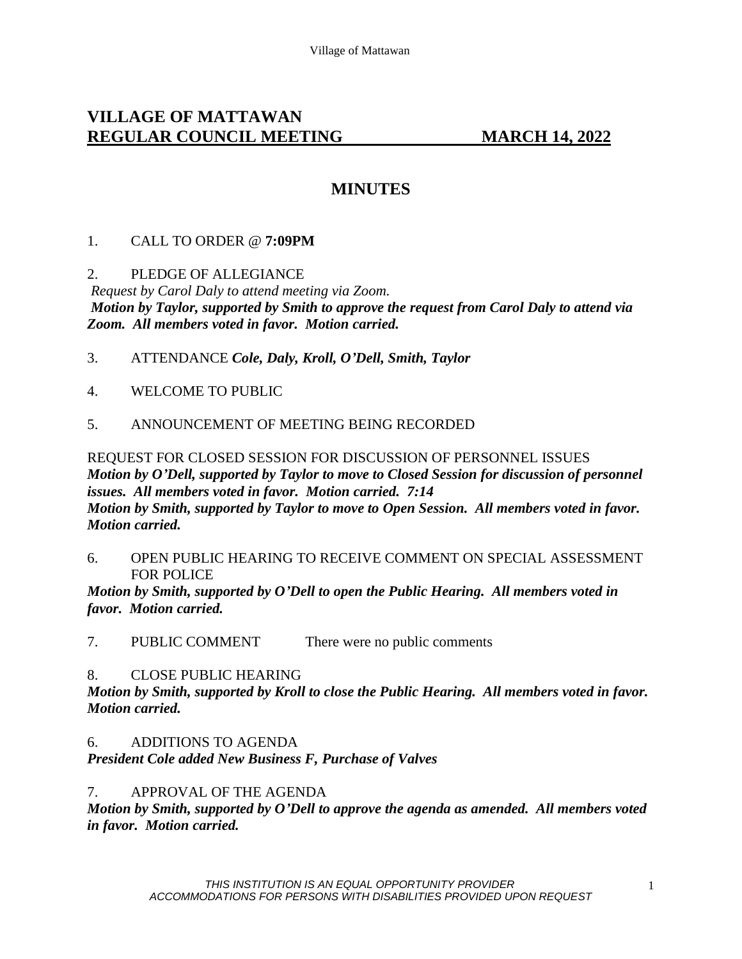# **VILLAGE OF MATTAWAN REGULAR COUNCIL MEETING MARCH 14, 2022**

# **MINUTES**

### 1. CALL TO ORDER @ **7:09PM**

### 2. PLEDGE OF ALLEGIANCE

*Request by Carol Daly to attend meeting via Zoom. Motion by Taylor, supported by Smith to approve the request from Carol Daly to attend via Zoom. All members voted in favor. Motion carried.* 

- 3. ATTENDANCE *Cole, Daly, Kroll, O'Dell, Smith, Taylor*
- 4. WELCOME TO PUBLIC
- 5. ANNOUNCEMENT OF MEETING BEING RECORDED

REQUEST FOR CLOSED SESSION FOR DISCUSSION OF PERSONNEL ISSUES *Motion by O'Dell, supported by Taylor to move to Closed Session for discussion of personnel issues. All members voted in favor. Motion carried. 7:14 Motion by Smith, supported by Taylor to move to Open Session. All members voted in favor. Motion carried.* 

6. OPEN PUBLIC HEARING TO RECEIVE COMMENT ON SPECIAL ASSESSMENT FOR POLICE

*Motion by Smith, supported by O'Dell to open the Public Hearing. All members voted in favor. Motion carried.* 

7. PUBLIC COMMENT There were no public comments

#### 8. CLOSE PUBLIC HEARING

*Motion by Smith, supported by Kroll to close the Public Hearing. All members voted in favor. Motion carried.* 

## 6. ADDITIONS TO AGENDA

*President Cole added New Business F, Purchase of Valves*

7. APPROVAL OF THE AGENDA

*Motion by Smith, supported by O'Dell to approve the agenda as amended. All members voted in favor. Motion carried.*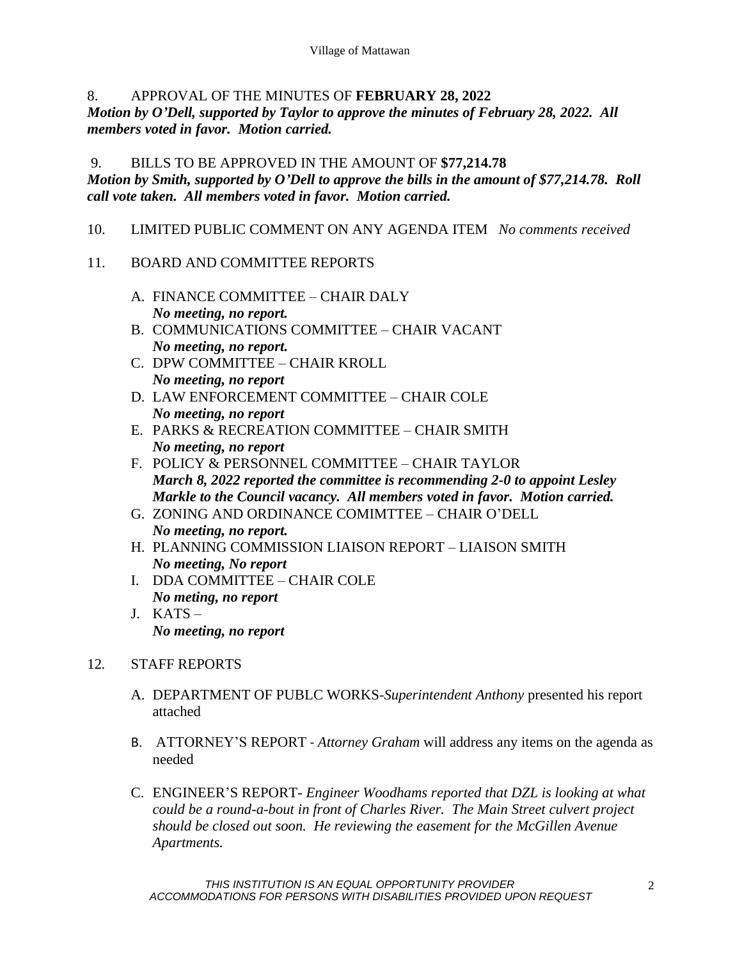# 8. APPROVAL OF THE MINUTES OF **FEBRUARY 28, 2022**

*Motion by O'Dell, supported by Taylor to approve the minutes of February 28, 2022. All members voted in favor. Motion carried.* 

## 9. BILLS TO BE APPROVED IN THE AMOUNT OF **\$77,214.78** *Motion by Smith, supported by O'Dell to approve the bills in the amount of \$77,214.78. Roll call vote taken. All members voted in favor. Motion carried.*

10. LIMITED PUBLIC COMMENT ON ANY AGENDA ITEM *No comments received*

# 11. BOARD AND COMMITTEE REPORTS

- A. FINANCE COMMITTEE CHAIR DALY *No meeting, no report.*
- B. COMMUNICATIONS COMMITTEE CHAIR VACANT *No meeting, no report.*
- C. DPW COMMITTEE CHAIR KROLL *No meeting, no report*
- D. LAW ENFORCEMENT COMMITTEE CHAIR COLE *No meeting, no report*
- E. PARKS & RECREATION COMMITTEE CHAIR SMITH *No meeting, no report*
- F. POLICY & PERSONNEL COMMITTEE CHAIR TAYLOR *March 8, 2022 reported the committee is recommending 2-0 to appoint Lesley Markle to the Council vacancy. All members voted in favor. Motion carried.*
- G. ZONING AND ORDINANCE COMIMTTEE CHAIR O'DELL *No meeting, no report.*
- H. PLANNING COMMISSION LIAISON REPORT LIAISON SMITH *No meeting, No report*
- I. DDA COMMITTEE CHAIR COLE *No meting, no report*
- J. KATS *No meeting, no report*

# 12*.* STAFF REPORTS

- A. DEPARTMENT OF PUBLC WORKS-*Superintendent Anthony* presented his report attached
- B. ATTORNEY'S REPORT *Attorney Graham* will address any items on the agenda as needed
- C. ENGINEER'S REPORT- *Engineer Woodhams reported that DZL is looking at what could be a round-a-bout in front of Charles River. The Main Street culvert project should be closed out soon. He reviewing the easement for the McGillen Avenue Apartments.*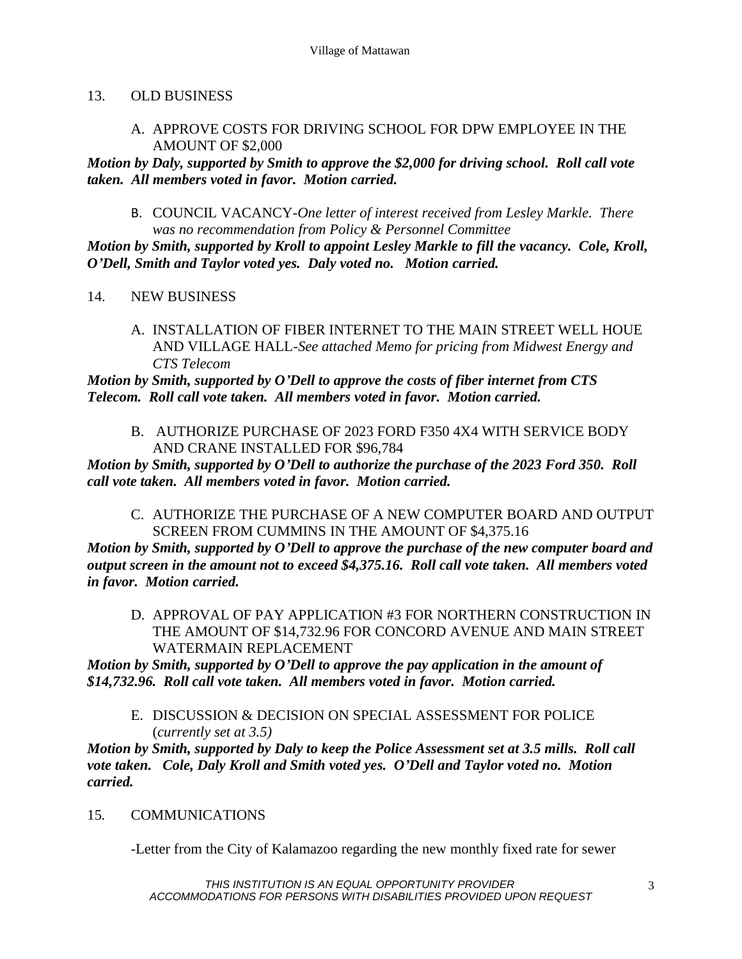### 13. OLD BUSINESS

### A. APPROVE COSTS FOR DRIVING SCHOOL FOR DPW EMPLOYEE IN THE AMOUNT OF \$2,000

*Motion by Daly, supported by Smith to approve the \$2,000 for driving school. Roll call vote taken. All members voted in favor. Motion carried.* 

B. COUNCIL VACANCY-*One letter of interest received from Lesley Markle. There was no recommendation from Policy & Personnel Committee*

*Motion by Smith, supported by Kroll to appoint Lesley Markle to fill the vacancy. Cole, Kroll, O'Dell, Smith and Taylor voted yes. Daly voted no. Motion carried.* 

- 14. NEW BUSINESS
	- A. INSTALLATION OF FIBER INTERNET TO THE MAIN STREET WELL HOUE AND VILLAGE HALL-*See attached Memo for pricing from Midwest Energy and CTS Telecom*

*Motion by Smith, supported by O'Dell to approve the costs of fiber internet from CTS Telecom. Roll call vote taken. All members voted in favor. Motion carried.* 

B. AUTHORIZE PURCHASE OF 2023 FORD F350 4X4 WITH SERVICE BODY AND CRANE INSTALLED FOR \$96,784

*Motion by Smith, supported by O'Dell to authorize the purchase of the 2023 Ford 350. Roll call vote taken. All members voted in favor. Motion carried.* 

C. AUTHORIZE THE PURCHASE OF A NEW COMPUTER BOARD AND OUTPUT SCREEN FROM CUMMINS IN THE AMOUNT OF \$4,375.16

*Motion by Smith, supported by O'Dell to approve the purchase of the new computer board and output screen in the amount not to exceed \$4,375.16. Roll call vote taken. All members voted in favor. Motion carried.* 

D. APPROVAL OF PAY APPLICATION #3 FOR NORTHERN CONSTRUCTION IN THE AMOUNT OF \$14,732.96 FOR CONCORD AVENUE AND MAIN STREET WATERMAIN REPLACEMENT

*Motion by Smith, supported by O'Dell to approve the pay application in the amount of \$14,732.96. Roll call vote taken. All members voted in favor. Motion carried.* 

E. DISCUSSION & DECISION ON SPECIAL ASSESSMENT FOR POLICE (*currently set at 3.5)*

*Motion by Smith, supported by Daly to keep the Police Assessment set at 3.5 mills. Roll call vote taken. Cole, Daly Kroll and Smith voted yes. O'Dell and Taylor voted no. Motion carried.* 

## 15*.* COMMUNICATIONS

-Letter from the City of Kalamazoo regarding the new monthly fixed rate for sewer